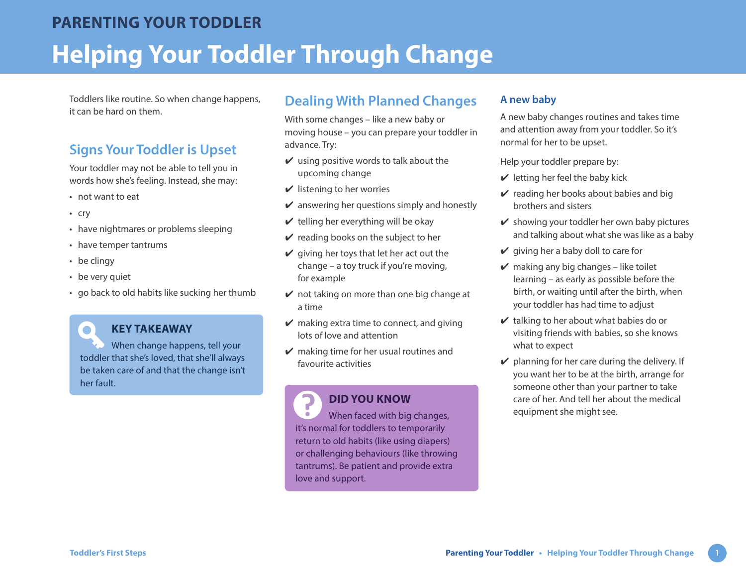Toddlers like routine. So when change happens, it can be hard on them.

# **Signs Your Toddler is Upset**

Your toddler may not be able to tell you in words how she's feeling. Instead, she may:

- not want to eat
- cry
- have nightmares or problems sleeping
- have temper tantrums
- be clingy

 $\bullet$ 

- be very quiet
- go back to old habits like sucking her thumb

#### **KEY TAKEAWAY**

When change happens, tell your toddler that she's loved, that she'll always be taken care of and that the change isn't her fault.

## **Dealing With Planned Changes**

With some changes – like a new baby or moving house – you can prepare your toddler in advance. Try:

- $\vee$  using positive words to talk about the upcoming change
- $\checkmark$  listening to her worries
- $\vee$  answering her questions simply and honestly
- $\vee$  telling her everything will be okay
- $\vee$  reading books on the subject to her
- $\vee$  giving her toys that let her act out the change – a toy truck if you're moving, for example
- $\vee$  not taking on more than one big change at a time
- $\vee$  making extra time to connect, and giving lots of love and attention
- $\vee$  making time for her usual routines and favourite activities

#### **DID YOU KNOW**

7 When faced with big changes, it's normal for toddlers to temporarily return to old habits (like using diapers) or challenging behaviours (like throwing tantrums). Be patient and provide extra love and support.

#### **A new baby**

A new baby changes routines and takes time and attention away from your toddler. So it's normal for her to be upset.

Help your toddler prepare by:

- $\vee$  letting her feel the baby kick
- $\vee$  reading her books about babies and big brothers and sisters
- $\vee$  showing your toddler her own baby pictures and talking about what she was like as a baby
- $\vee$  giving her a baby doll to care for
- $\vee$  making any big changes like toilet learning – as early as possible before the birth, or waiting until after the birth, when your toddler has had time to adjust
- $\vee$  talking to her about what babies do or visiting friends with babies, so she knows what to expect
- $\vee$  planning for her care during the delivery. If you want her to be at the birth, arrange for someone other than your partner to take care of her. And tell her about the medical equipment she might see.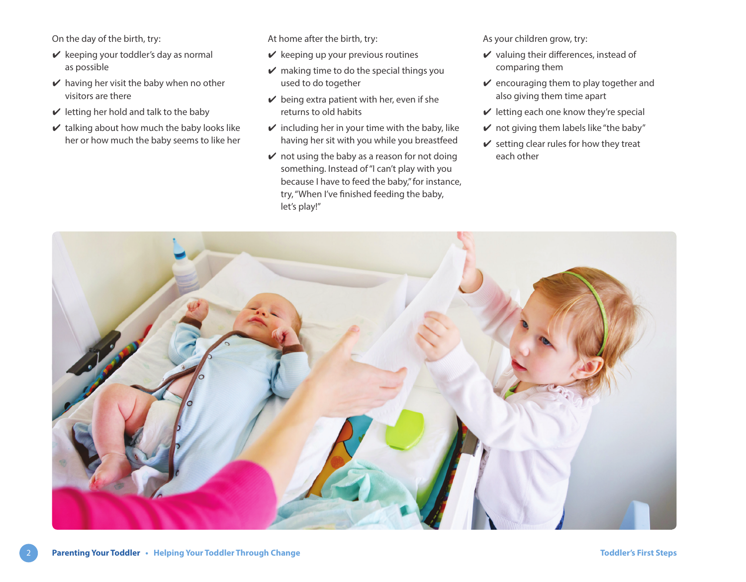On the day of the birth, try:

- $\vee$  keeping your toddler's day as normal as possible
- $\vee$  having her visit the baby when no other visitors are there
- $\vee$  letting her hold and talk to the baby
- $\vee$  talking about how much the baby looks like her or how much the baby seems to like her

At home after the birth, try:

- $\vee$  keeping up your previous routines
- $\vee$  making time to do the special things you used to do together
- $\vee$  being extra patient with her, even if she returns to old habits
- $\checkmark$  including her in your time with the baby, like having her sit with you while you breastfeed
- $\vee$  not using the baby as a reason for not doing something. Instead of "I can't play with you because I have to feed the baby," for instance, try, "When I've finished feeding the baby, let's play!"

As your children grow, try:

- $\vee$  valuing their differences, instead of comparing them
- $\vee$  encouraging them to play together and also giving them time apart
- $\vee$  letting each one know they're special
- $\vee$  not giving them labels like "the baby"
- $\vee$  setting clear rules for how they treat each other